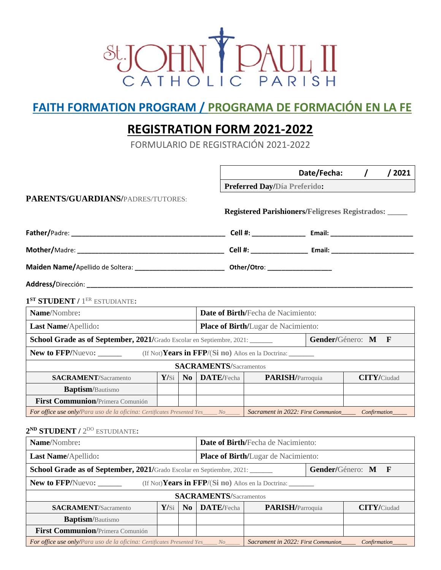

## **FAITH FORMATION PROGRAM / PROGRAMA DE FORMACIÓN EN LA FE**

## **REGISTRATION FORM 2021-2022**

FORMULARIO DE REGISTRACIÓN 2021-2022

|                                                                                          |      |    |                                                            |                                            | Date/Fecha:                                            |                    | / 2021 |  |
|------------------------------------------------------------------------------------------|------|----|------------------------------------------------------------|--------------------------------------------|--------------------------------------------------------|--------------------|--------|--|
|                                                                                          |      |    |                                                            | Preferred Day/Día Preferido:               |                                                        |                    |        |  |
| PARENTS/GUARDIANS/PADRES/TUTORES:                                                        |      |    |                                                            |                                            |                                                        |                    |        |  |
|                                                                                          |      |    |                                                            |                                            | <b>Registered Parishioners/Feligreses Registrados:</b> |                    |        |  |
|                                                                                          |      |    |                                                            |                                            |                                                        |                    |        |  |
|                                                                                          |      |    |                                                            |                                            |                                                        |                    |        |  |
|                                                                                          |      |    |                                                            |                                            |                                                        |                    |        |  |
|                                                                                          |      |    |                                                            |                                            |                                                        |                    |        |  |
| $1ST$ STUDENT / $1ER$ ESTUDIANTE:                                                        |      |    |                                                            |                                            |                                                        |                    |        |  |
| Name/Nombre:                                                                             |      |    |                                                            | Date of Birth/Fecha de Nacimiento:         |                                                        |                    |        |  |
| Last Name/Apellido:                                                                      |      |    |                                                            | <b>Place of Birth/Lugar de Nacimiento:</b> |                                                        |                    |        |  |
| School Grade as of September, 2021/Grado Escolar en Septiembre, 2021: ______             |      |    |                                                            | Gender/Género: M<br>$\mathbf{F}$           |                                                        |                    |        |  |
| <b>New to FFP/Nuevo:</b>                                                                 |      |    | (If Not) Years in FFP/(Si no) Años en la Doctrina: _______ |                                            |                                                        |                    |        |  |
|                                                                                          |      |    | <b>SACRAMENTS/Sacramentos</b>                              |                                            |                                                        |                    |        |  |
| <b>SACRAMENT/Sacramento</b>                                                              | Y/si | No | DATE/Fecha                                                 | <b>PARISH/Parroquia</b>                    |                                                        | <b>CITY/Ciudad</b> |        |  |
| <b>Baptism</b> /Bautismo                                                                 |      |    |                                                            |                                            |                                                        |                    |        |  |
| First Communion/Primera Comunión                                                         |      |    |                                                            |                                            |                                                        |                    |        |  |
| <b>For office use only/Para uso de la oficina: Certificates Presented Yes____ No____</b> |      |    |                                                            |                                            | Sacrament in 2022: First Communion Confirmation        |                    |        |  |

## **2 ND STUDENT /** 2 DO ESTUDIANTE**:**

| Name/Nombre:                                                                                | Date of Birth/Fecha de Nacimiento: |                     |                                            |                                                           |  |                    |  |
|---------------------------------------------------------------------------------------------|------------------------------------|---------------------|--------------------------------------------|-----------------------------------------------------------|--|--------------------|--|
| Last Name/Apellido:                                                                         |                                    |                     | <b>Place of Birth/Lugar de Nacimiento:</b> |                                                           |  |                    |  |
| School Grade as of September, 2021/Grado Escolar en Septiembre, 2021:<br>Gender/Género: M F |                                    |                     |                                            |                                                           |  |                    |  |
| <b>New to FFP/Nuevo:</b><br>(If Not) Years in FFP/(Si no) Años en la Doctrina:              |                                    |                     |                                            |                                                           |  |                    |  |
| <b>SACRAMENTS/Sacramentos</b>                                                               |                                    |                     |                                            |                                                           |  |                    |  |
| <b>SACRAMENT</b> /Sacramento                                                                |                                    | $Y/Si \mid No \mid$ | DATE/Fecha                                 | PARISH/Parroquia                                          |  | <b>CITY/Ciudad</b> |  |
| <b>Baptism</b> /Bautismo                                                                    |                                    |                     |                                            |                                                           |  |                    |  |
| First Communion/Primera Comunión                                                            |                                    |                     |                                            |                                                           |  |                    |  |
| For office use only/Para uso de la oficina: Certificates Presented Yes_____ No____          |                                    |                     |                                            | Sacrament in 2022: First Communion<br><i>Confirmation</i> |  |                    |  |